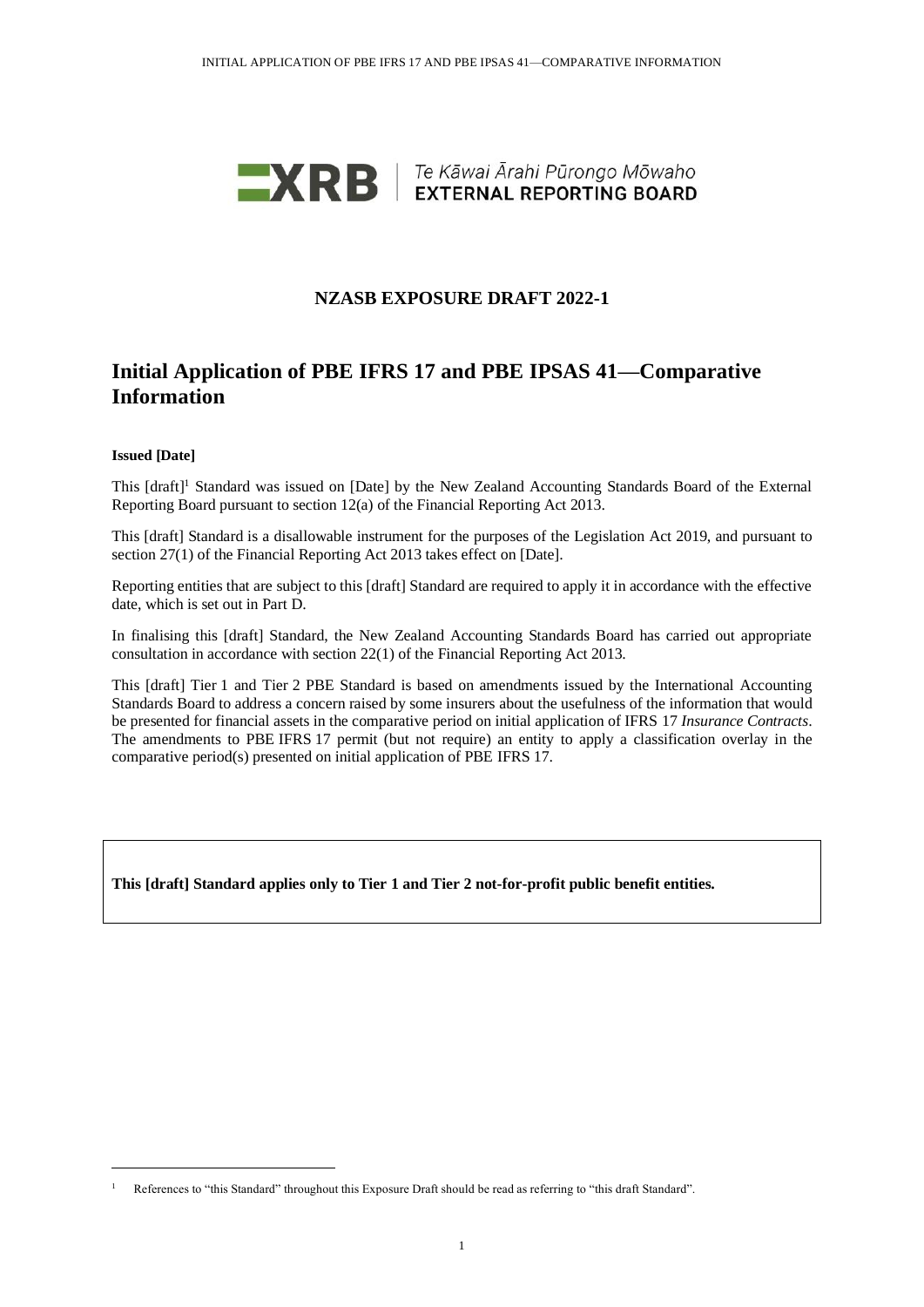

## **NZASB EXPOSURE DRAFT 2022-1**

# **Initial Application of PBE IFRS 17 and PBE IPSAS 41—Comparative Information**

#### **Issued [Date]**

This [draft]<sup>1</sup> Standard was issued on [Date] by the New Zealand Accounting Standards Board of the External Reporting Board pursuant to section 12(a) of the Financial Reporting Act 2013.

This [draft] Standard is a disallowable instrument for the purposes of the Legislation Act 2019, and pursuant to section 27(1) of the Financial Reporting Act 2013 takes effect on [Date].

Reporting entities that are subject to this [draft] Standard are required to apply it in accordance with the effective date, which is set out in Part D.

In finalising this [draft] Standard, the New Zealand Accounting Standards Board has carried out appropriate consultation in accordance with section 22(1) of the Financial Reporting Act 2013.

This [draft] Tier 1 and Tier 2 PBE Standard is based on amendments issued by the International Accounting Standards Board to address a concern raised by some insurers about the usefulness of the information that would be presented for financial assets in the comparative period on initial application of IFRS 17 *Insurance Contracts*. The amendments to PBE IFRS 17 permit (but not require) an entity to apply a classification overlay in the comparative period(s) presented on initial application of PBE IFRS 17.

**This [draft] Standard applies only to Tier 1 and Tier 2 not-for-profit public benefit entities.**

<sup>&</sup>lt;sup>1</sup> References to "this Standard" throughout this Exposure Draft should be read as referring to "this draft Standard".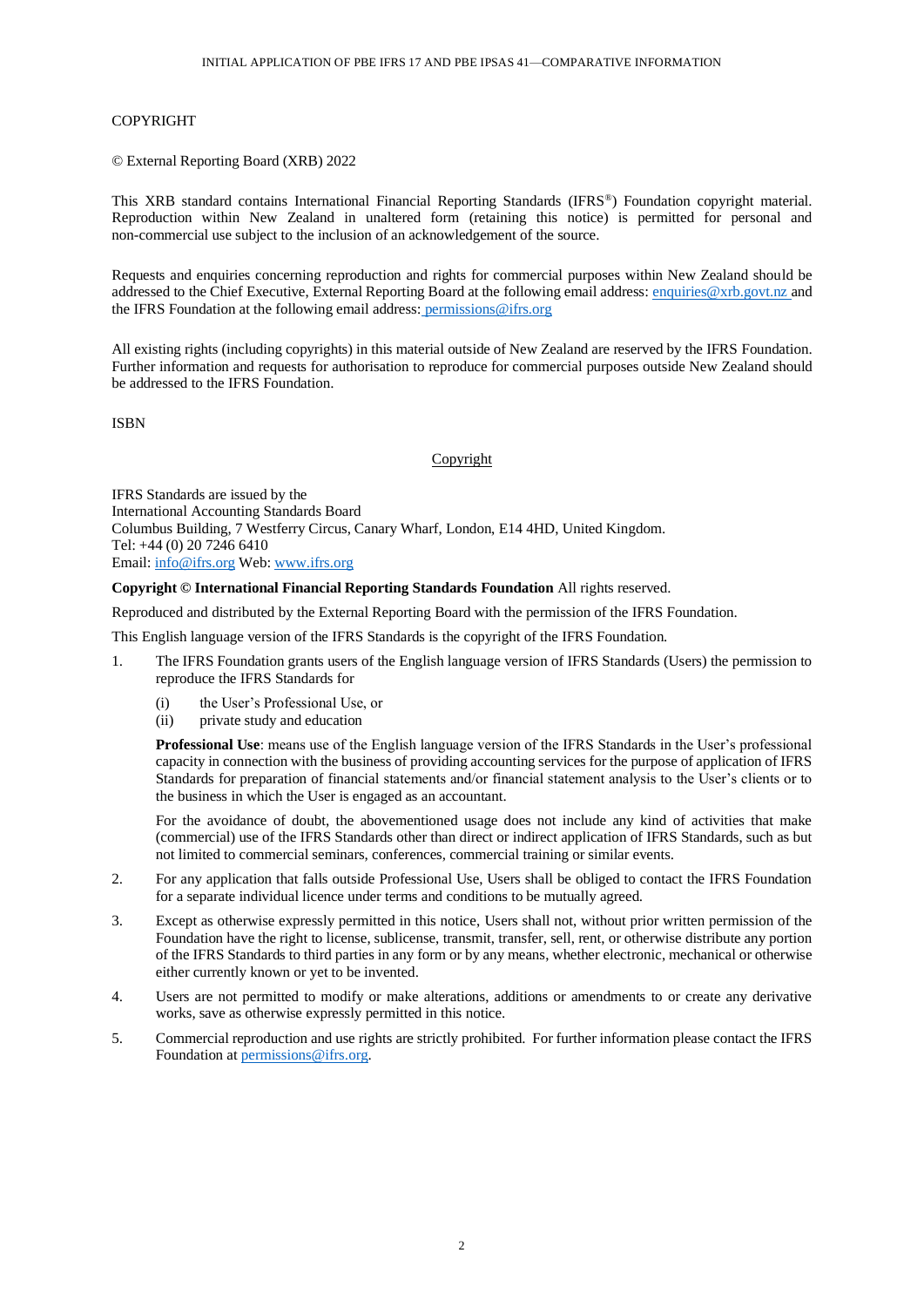#### COPYRIGHT

© External Reporting Board (XRB) 2022

This XRB standard contains International Financial Reporting Standards (IFRS® ) Foundation copyright material. Reproduction within New Zealand in unaltered form (retaining this notice) is permitted for personal and non-commercial use subject to the inclusion of an acknowledgement of the source.

Requests and enquiries concerning reproduction and rights for commercial purposes within New Zealand should be addressed to the Chief Executive, External Reporting Board at the following email address[: enquiries@xrb.govt.nz](mailto:enquiries@xrb.govt.nz) and the IFRS Foundation at the following email address: permissions@ifrs.org

All existing rights (including copyrights) in this material outside of New Zealand are reserved by the IFRS Foundation. Further information and requests for authorisation to reproduce for commercial purposes outside New Zealand should be addressed to the IFRS Foundation.

ISBN

#### Copyright

IFRS Standards are issued by the International Accounting Standards Board Columbus Building, 7 Westferry Circus, Canary Wharf, London, E14 4HD, United Kingdom. Tel: +44 (0) 20 7246 6410 Email[: info@ifrs.org](mailto:info@ifrs.org) Web: [www.ifrs.org](http://www.ifrs.org/)

#### **Copyright © International Financial Reporting Standards Foundation** All rights reserved.

Reproduced and distributed by the External Reporting Board with the permission of the IFRS Foundation.

This English language version of the IFRS Standards is the copyright of the IFRS Foundation.

- 1. The IFRS Foundation grants users of the English language version of IFRS Standards (Users) the permission to reproduce the IFRS Standards for
	- (i) the User's Professional Use, or
	- (ii) private study and education

**Professional Use**: means use of the English language version of the IFRS Standards in the User's professional capacity in connection with the business of providing accounting services for the purpose of application of IFRS Standards for preparation of financial statements and/or financial statement analysis to the User's clients or to the business in which the User is engaged as an accountant.

For the avoidance of doubt, the abovementioned usage does not include any kind of activities that make (commercial) use of the IFRS Standards other than direct or indirect application of IFRS Standards, such as but not limited to commercial seminars, conferences, commercial training or similar events.

- 2. For any application that falls outside Professional Use, Users shall be obliged to contact the IFRS Foundation for a separate individual licence under terms and conditions to be mutually agreed.
- 3. Except as otherwise expressly permitted in this notice, Users shall not, without prior written permission of the Foundation have the right to license, sublicense, transmit, transfer, sell, rent, or otherwise distribute any portion of the IFRS Standards to third parties in any form or by any means, whether electronic, mechanical or otherwise either currently known or yet to be invented.
- 4. Users are not permitted to modify or make alterations, additions or amendments to or create any derivative works, save as otherwise expressly permitted in this notice.
- 5. Commercial reproduction and use rights are strictly prohibited. For further information please contact the IFRS Foundation a[t permissions@ifrs.org.](mailto:permissions@ifrs.org)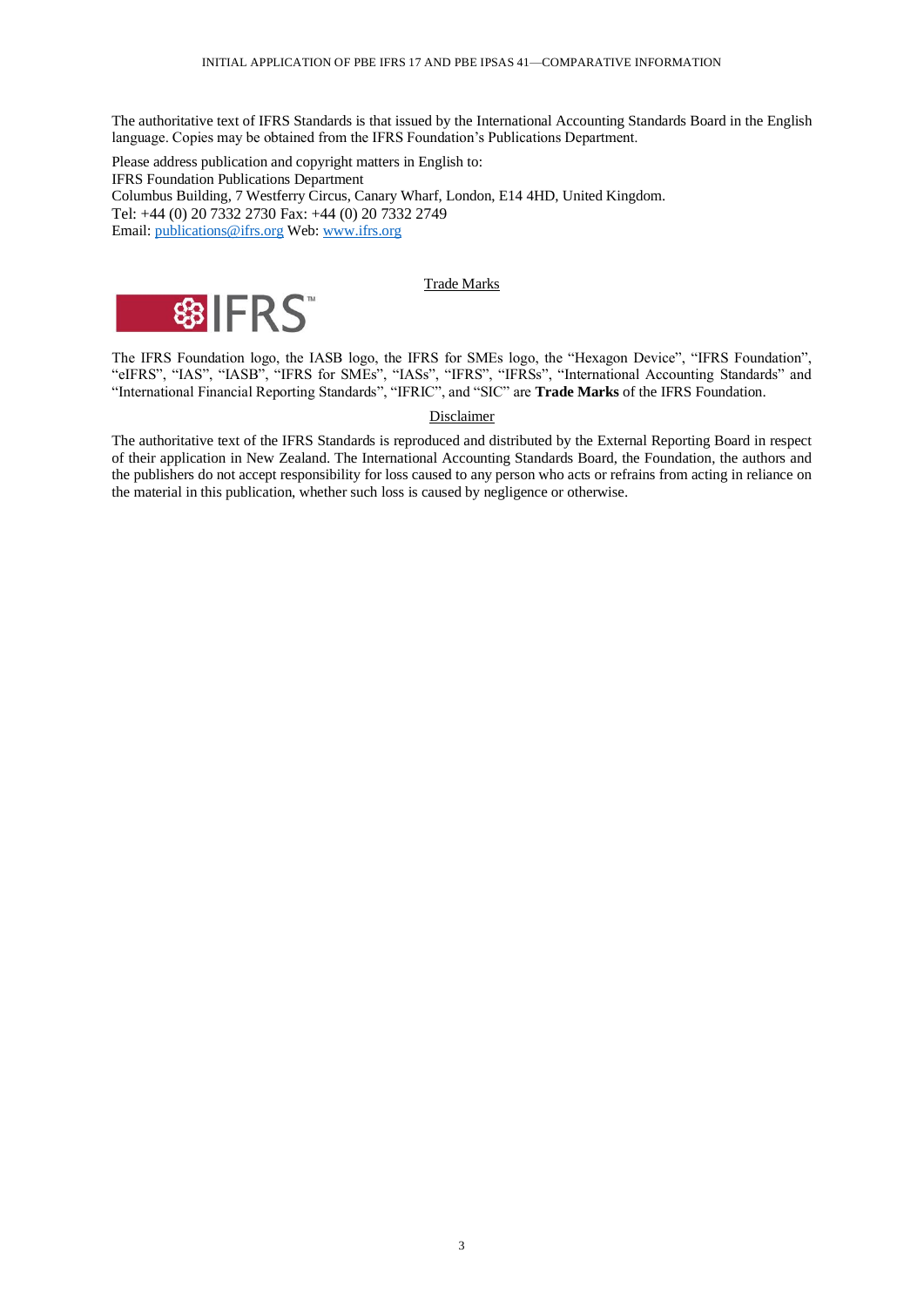The authoritative text of IFRS Standards is that issued by the International Accounting Standards Board in the English language. Copies may be obtained from the IFRS Foundation's Publications Department.

Please address publication and copyright matters in English to: IFRS Foundation Publications Department Columbus Building, 7 Westferry Circus, Canary Wharf, London, E14 4HD, United Kingdom. Tel: +44 (0) 20 7332 2730 Fax: +44 (0) 20 7332 2749 Email[: publications@ifrs.org](mailto:publications@ifrs.org) Web: [www.ifrs.org](http://www.ifrs.org/)

### Trade Marks



The IFRS Foundation logo, the IASB logo, the IFRS for SMEs logo, the "Hexagon Device", "IFRS Foundation", "eIFRS", "IAS", "IASB", "IFRS for SMEs", "IASs", "IFRS", "IFRSs", "International Accounting Standards" and "International Financial Reporting Standards", "IFRIC", and "SIC" are **Trade Marks** of the IFRS Foundation.

#### Disclaimer

The authoritative text of the IFRS Standards is reproduced and distributed by the External Reporting Board in respect of their application in New Zealand. The International Accounting Standards Board, the Foundation, the authors and the publishers do not accept responsibility for loss caused to any person who acts or refrains from acting in reliance on the material in this publication, whether such loss is caused by negligence or otherwise.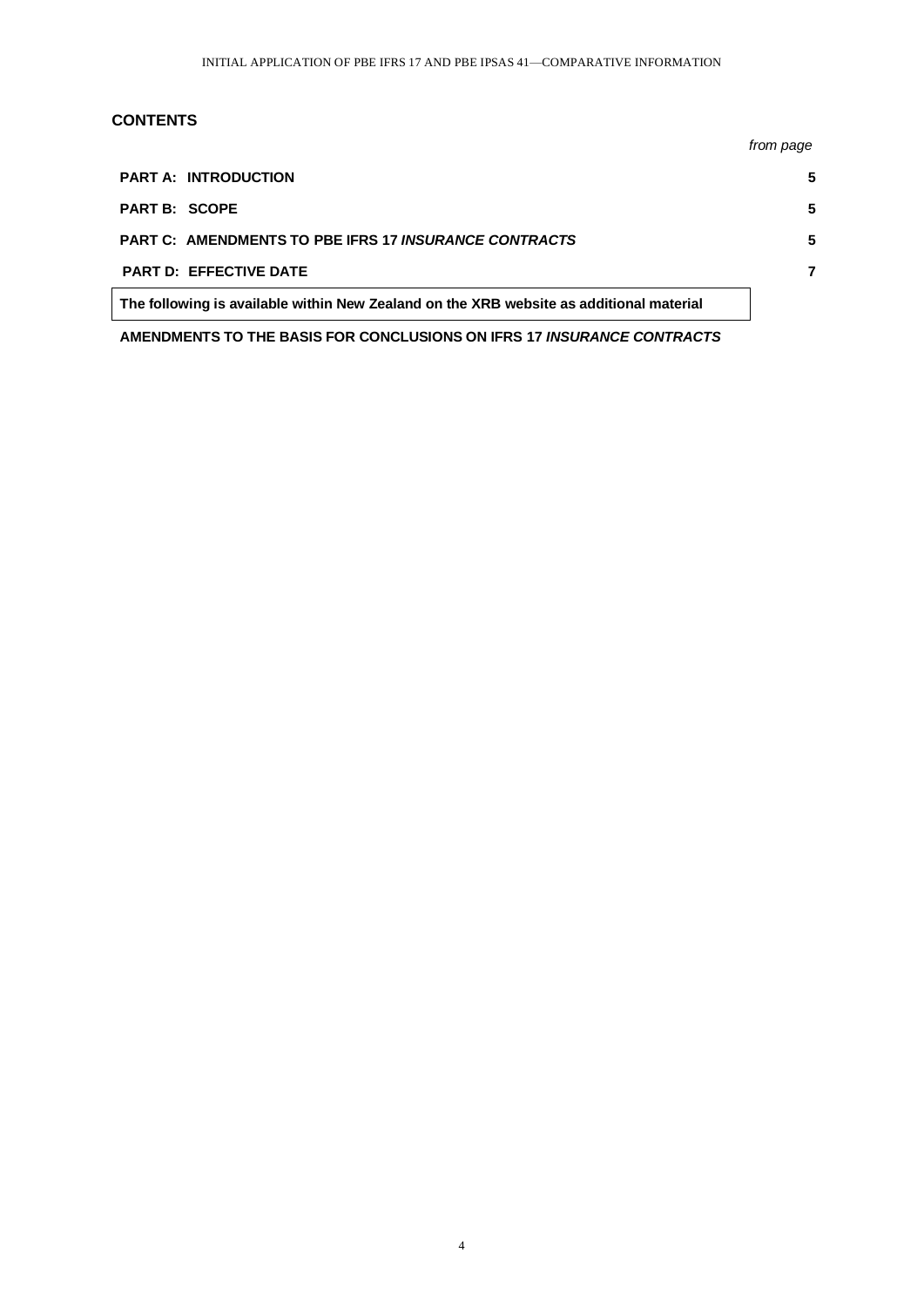## **CONTENTS**

|                                                                                         | from page |
|-----------------------------------------------------------------------------------------|-----------|
| <b>PART A: INTRODUCTION</b>                                                             |           |
| <b>PART B: SCOPE</b>                                                                    |           |
| <b>PART C: AMENDMENTS TO PBE IFRS 17 INSURANCE CONTRACTS</b>                            |           |
| <b>PART D: EFFECTIVE DATE</b>                                                           |           |
| The following is available within New Zealand on the XRB website as additional material |           |

**AMENDMENTS TO THE BASIS FOR CONCLUSIONS ON IFRS 17** *INSURANCE CONTRACTS*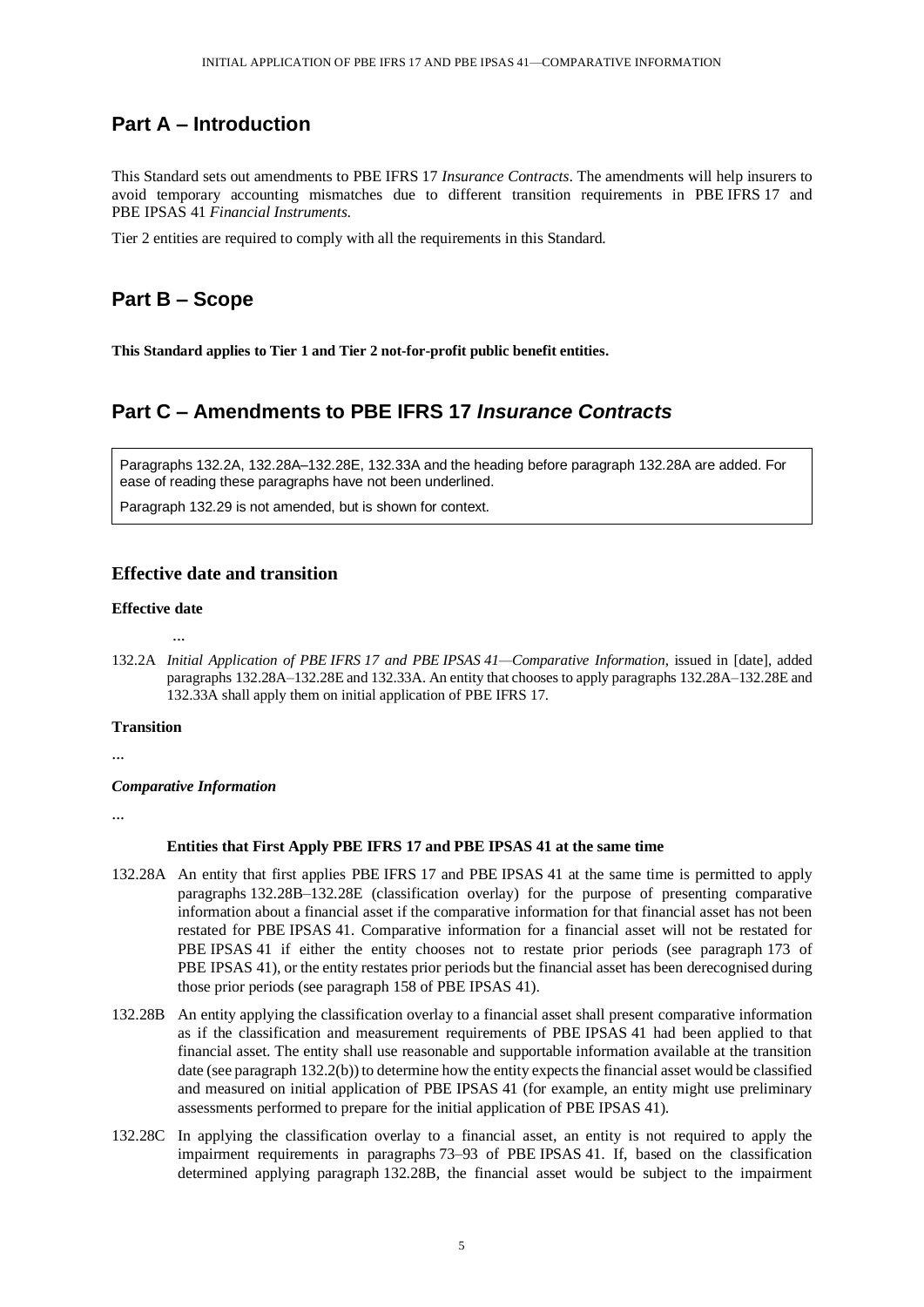# **Part A – Introduction**

This Standard sets out amendments to PBE IFRS 17 *Insurance Contracts*. The amendments will help insurers to avoid temporary accounting mismatches due to different transition requirements in PBE IFRS 17 and PBE IPSAS 41 *Financial Instruments*.

Tier 2 entities are required to comply with all the requirements in this Standard.

# **Part B – Scope**

**This Standard applies to Tier 1 and Tier 2 not-for-profit public benefit entities.**

# **Part C – Amendments to PBE IFRS 17** *Insurance Contracts*

Paragraphs 132.2A, 132.28A–132.28E, 132.33A and the heading before paragraph 132.28A are added. For ease of reading these paragraphs have not been underlined.

Paragraph 132.29 is not amended, but is shown for context.

## **Effective date and transition**

### **Effective date**

...

132.2A *Initial Application of PBE IFRS 17 and PBE IPSAS 41—Comparative Information*, issued in [date], added paragraphs 132.28A–132.28E and 132.33A. An entity that chooses to apply paragraphs 132.28A–132.28E and 132.33A shall apply them on initial application of PBE IFRS 17.

### **Transition**

...

### *Comparative Information*

...

### **Entities that First Apply PBE IFRS 17 and PBE IPSAS 41 at the same time**

- 132.28A An entity that first applies PBE IFRS 17 and PBE IPSAS 41 at the same time is permitted to apply paragraphs 132.28B–132.28E (classification overlay) for the purpose of presenting comparative information about a financial asset if the comparative information for that financial asset has not been restated for PBE IPSAS 41. Comparative information for a financial asset will not be restated for PBE IPSAS 41 if either the entity chooses not to restate prior periods (see paragraph 173 of PBE IPSAS 41), or the entity restates prior periods but the financial asset has been derecognised during those prior periods (see paragraph 158 of PBE IPSAS 41).
- 132.28B An entity applying the classification overlay to a financial asset shall present comparative information as if the classification and measurement requirements of PBE IPSAS 41 had been applied to that financial asset. The entity shall use reasonable and supportable information available at the transition date (see paragraph 132.2(b)) to determine how the entity expects the financial asset would be classified and measured on initial application of PBE IPSAS 41 (for example, an entity might use preliminary assessments performed to prepare for the initial application of PBE IPSAS 41).
- 132.28C In applying the classification overlay to a financial asset, an entity is not required to apply the impairment requirements in paragraphs 73–93 of PBE IPSAS 41. If, based on the classification determined applying paragraph 132.28B, the financial asset would be subject to the impairment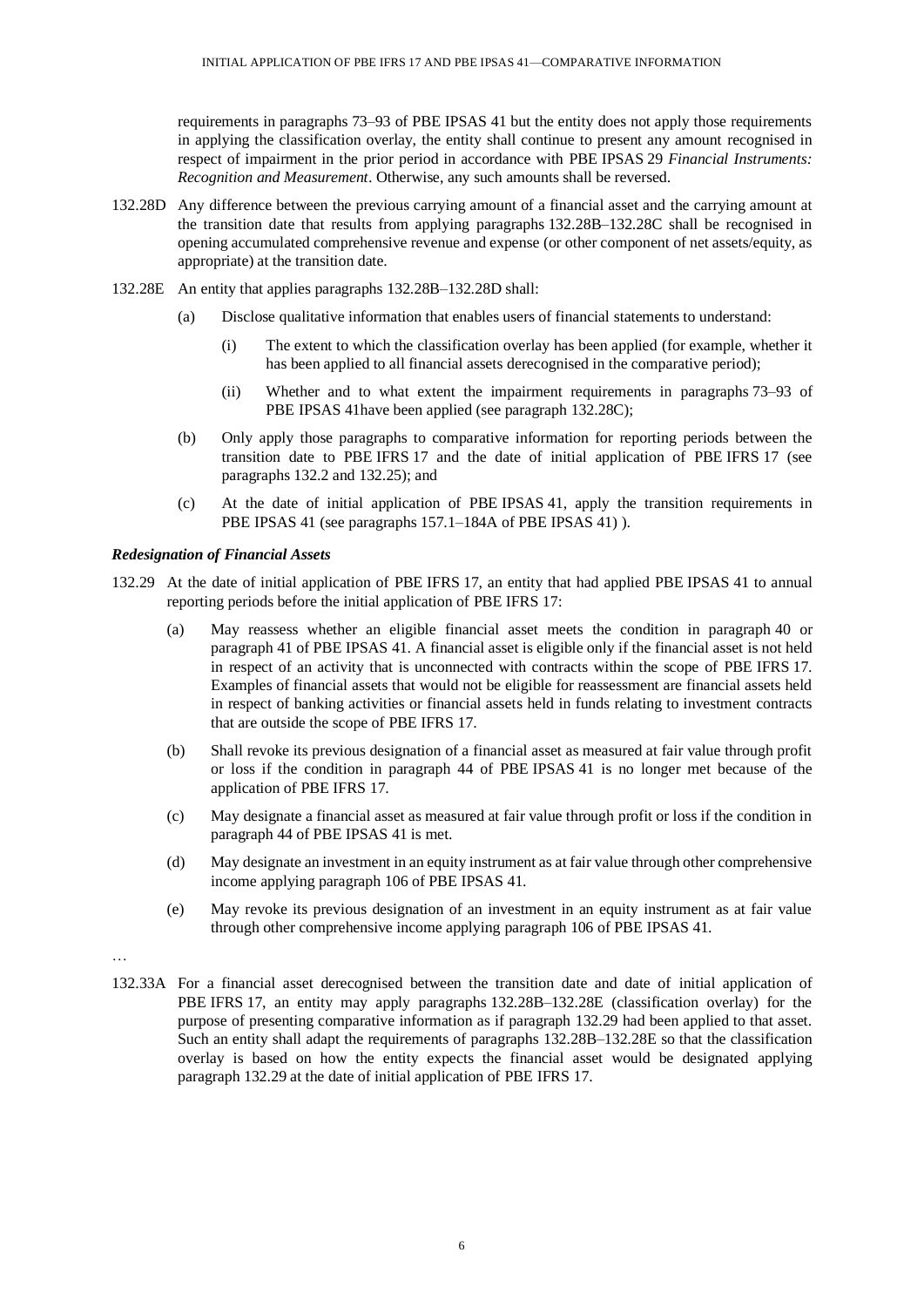requirements in paragraphs 73–93 of PBE IPSAS 41 but the entity does not apply those requirements in applying the classification overlay, the entity shall continue to present any amount recognised in respect of impairment in the prior period in accordance with PBE IPSAS 29 *Financial Instruments: Recognition and Measurement*. Otherwise, any such amounts shall be reversed.

- 132.28D Any difference between the previous carrying amount of a financial asset and the carrying amount at the transition date that results from applying paragraphs 132.28B–132.28C shall be recognised in opening accumulated comprehensive revenue and expense (or other component of net assets/equity, as appropriate) at the transition date.
- 132.28E An entity that applies paragraphs 132.28B–132.28D shall:
	- (a) Disclose qualitative information that enables users of financial statements to understand:
		- (i) The extent to which the classification overlay has been applied (for example, whether it has been applied to all financial assets derecognised in the comparative period);
		- (ii) Whether and to what extent the impairment requirements in paragraphs 73–93 of PBE IPSAS 41have been applied (see paragraph 132.28C);
	- (b) Only apply those paragraphs to comparative information for reporting periods between the transition date to PBE IFRS 17 and the date of initial application of PBE IFRS 17 (see paragraphs 132.2 and 132.25); and
	- (c) At the date of initial application of PBE IPSAS 41, apply the transition requirements in PBE IPSAS 41 (see paragraphs 157.1–184A of PBE IPSAS 41)).

### *Redesignation of Financial Assets*

- 132.29 At the date of initial application of PBE IFRS 17, an entity that had applied PBE IPSAS 41 to annual reporting periods before the initial application of PBE IFRS 17:
	- (a) May reassess whether an eligible financial asset meets the condition in paragraph 40 or paragraph 41 of PBE IPSAS 41. A financial asset is eligible only if the financial asset is not held in respect of an activity that is unconnected with contracts within the scope of PBE IFRS 17. Examples of financial assets that would not be eligible for reassessment are financial assets held in respect of banking activities or financial assets held in funds relating to investment contracts that are outside the scope of PBE IFRS 17.
	- (b) Shall revoke its previous designation of a financial asset as measured at fair value through profit or loss if the condition in paragraph 44 of PBE IPSAS 41 is no longer met because of the application of PBE IFRS 17.
	- (c) May designate a financial asset as measured at fair value through profit or loss if the condition in paragraph 44 of PBE IPSAS 41 is met.
	- (d) May designate an investment in an equity instrument as at fair value through other comprehensive income applying paragraph 106 of PBE IPSAS 41.
	- (e) May revoke its previous designation of an investment in an equity instrument as at fair value through other comprehensive income applying paragraph 106 of PBE IPSAS 41.
- …
- 132.33A For a financial asset derecognised between the transition date and date of initial application of PBE IFRS 17, an entity may apply paragraphs 132.28B–132.28E (classification overlay) for the purpose of presenting comparative information as if paragraph 132.29 had been applied to that asset. Such an entity shall adapt the requirements of paragraphs 132.28B–132.28E so that the classification overlay is based on how the entity expects the financial asset would be designated applying paragraph 132.29 at the date of initial application of PBE IFRS 17.